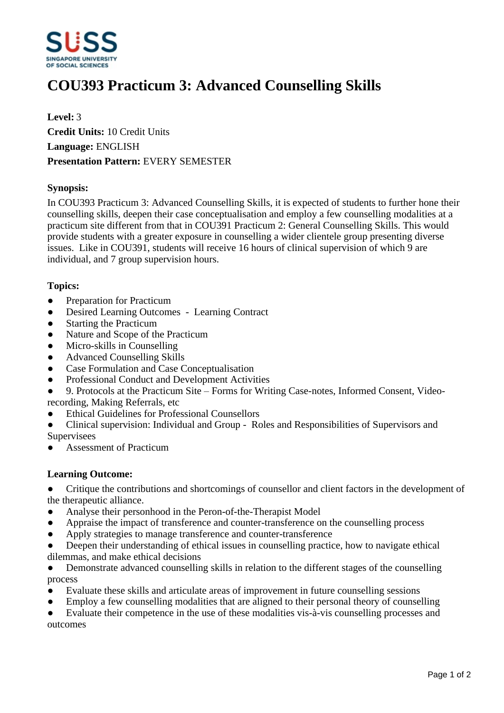

# **COU393 Practicum 3: Advanced Counselling Skills**

**Level:** 3 **Credit Units:** 10 Credit Units **Language:** ENGLISH **Presentation Pattern:** EVERY SEMESTER

### **Synopsis:**

In COU393 Practicum 3: Advanced Counselling Skills, it is expected of students to further hone their counselling skills, deepen their case conceptualisation and employ a few counselling modalities at a practicum site different from that in COU391 Practicum 2: General Counselling Skills. This would provide students with a greater exposure in counselling a wider clientele group presenting diverse issues. Like in COU391, students will receive 16 hours of clinical supervision of which 9 are individual, and 7 group supervision hours.

### **Topics:**

- Preparation for Practicum
- Desired Learning Outcomes Learning Contract
- Starting the Practicum
- Nature and Scope of the Practicum
- Micro-skills in Counselling
- Advanced Counselling Skills
- Case Formulation and Case Conceptualisation
- Professional Conduct and Development Activities
- 9. Protocols at the Practicum Site Forms for Writing Case-notes, Informed Consent, Videorecording, Making Referrals, etc
- ƔEthical Guidelines for Professional Counsellors
- Clinical supervision: Individual and Group Roles and Responsibilities of Supervisors and **Supervisees**
- Assessment of Practicum

#### **Learning Outcome:**

• Critique the contributions and shortcomings of counsellor and client factors in the development of the therapeutic alliance.

- Analyse their personhood in the Peron-of-the-Therapist Model
- Appraise the impact of transference and counter-transference on the counselling process
- Apply strategies to manage transference and counter-transference
- Deepen their understanding of ethical issues in counselling practice, how to navigate ethical dilemmas, and make ethical decisions
- Demonstrate advanced counselling skills in relation to the different stages of the counselling process
- Evaluate these skills and articulate areas of improvement in future counselling sessions
- Employ a few counselling modalities that are aligned to their personal theory of counselling
- Evaluate their competence in the use of these modalities vis-à-vis counselling processes and outcomes